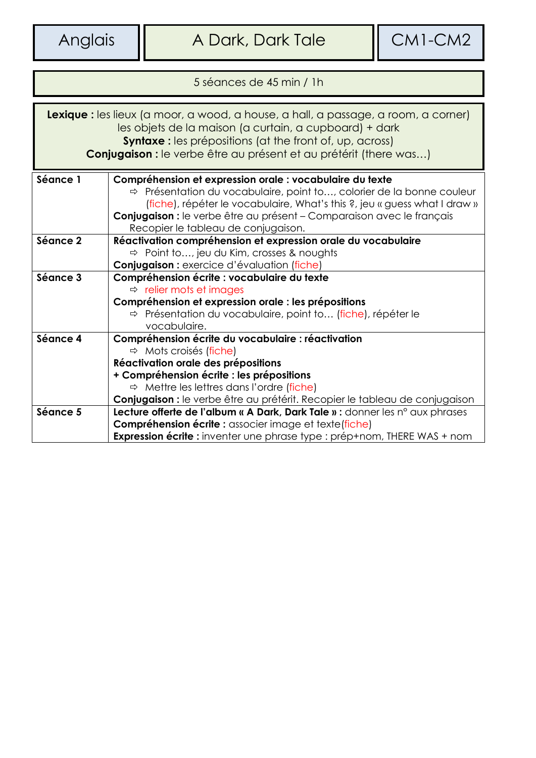| 5 ségnees de 45 min / 1 h                                                                                                                                                                                                                                                           |                                                                                                                                                                                                                                                                                                                                            |  |  |  |
|-------------------------------------------------------------------------------------------------------------------------------------------------------------------------------------------------------------------------------------------------------------------------------------|--------------------------------------------------------------------------------------------------------------------------------------------------------------------------------------------------------------------------------------------------------------------------------------------------------------------------------------------|--|--|--|
| Lexique : les lieux (a moor, a wood, a house, a hall, a passage, a room, a corner)<br>les objets de la maison (a curtain, a cupboard) + dark<br><b>Syntaxe:</b> les prépositions (at the front of, up, across)<br>Conjugaison : le verbe être au présent et au prétérit (there was) |                                                                                                                                                                                                                                                                                                                                            |  |  |  |
| Séance 1                                                                                                                                                                                                                                                                            | Compréhension et expression orale : vocabulaire du texte<br>$\Rightarrow$ Présentation du vocabulaire, point to, colorier de la bonne couleur<br>(fiche), répéter le vocabulaire, What's this ?, jeu « guess what I draw »<br>Conjugaison : le verbe être au présent - Comparaison avec le français<br>Recopier le tableau de conjugaison. |  |  |  |
| Séance 2                                                                                                                                                                                                                                                                            | Réactivation compréhension et expression orale du vocabulaire<br>$\Rightarrow$ Point to, jeu du Kim, crosses & noughts<br>Conjugaison : exercice d'évaluation (fiche)                                                                                                                                                                      |  |  |  |
| Séance 3                                                                                                                                                                                                                                                                            | Compréhension écrite : vocabulaire du texte<br>$\Rightarrow$ relier mots et images<br>Compréhension et expression orale : les prépositions<br>$\Rightarrow$ Présentation du vocabulaire, point to (fiche), répéter le<br>vocabulaire.                                                                                                      |  |  |  |
| Séance 4                                                                                                                                                                                                                                                                            | Compréhension écrite du vocabulaire : réactivation<br>$\Rightarrow$ Mots croisés (fiche)<br>Réactivation orale des prépositions<br>+ Compréhension écrite : les prépositions<br>$\Rightarrow$ Mettre les lettres dans l'ordre (fiche)<br>Conjugaison : le verbe être au prétérit. Recopier le tableau de conjugaison                       |  |  |  |
| Séance 5                                                                                                                                                                                                                                                                            | Lecture offerte de l'album « A Dark, Dark Tale » : donner les n° aux phrases<br><b>Compréhension écrite :</b> associer image et texte(fiche)<br>Expression écrite : inventer une phrase type : prép+nom, THERE WAS + nom                                                                                                                   |  |  |  |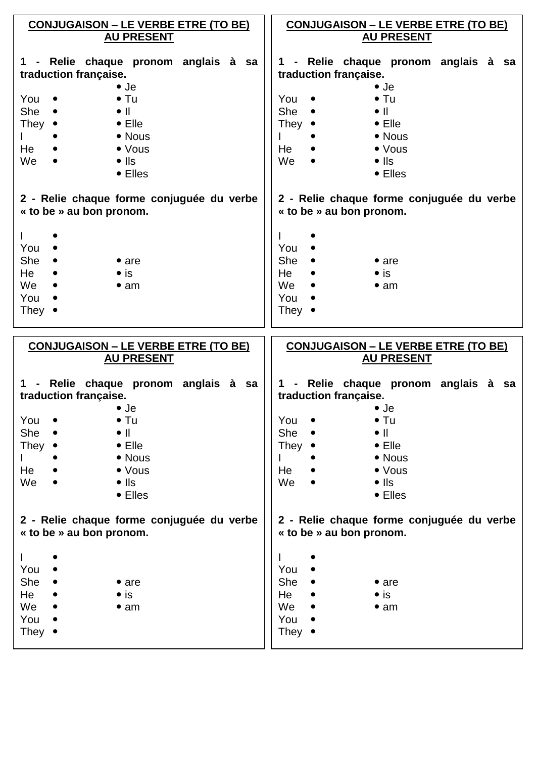|                       | <b>CONJUGAISON – LE VERBE ETRE (TO BE)</b><br><b>AU PRESENT</b>       |  |                |               |                          | <b>CONJUGAISON – LE VERBE ETRE (TO BE)</b><br><b>AU PRESENT</b> |  |  |
|-----------------------|-----------------------------------------------------------------------|--|----------------|---------------|--------------------------|-----------------------------------------------------------------|--|--|
| traduction française. | 1 - Relie chaque pronom anglais à sa                                  |  |                |               | traduction française.    | 1 - Relie chaque pronom anglais à sa                            |  |  |
|                       | $\bullet$ Je                                                          |  |                |               | $\bullet$ Je             |                                                                 |  |  |
| You $\bullet$<br>She  | $\bullet$ Tu<br>$\bullet$ $\parallel$                                 |  | You $\bullet$  | She $\bullet$ | $\bullet$ $\parallel$    | $\bullet$ Tu                                                    |  |  |
| They $\bullet$        | $\bullet$ Elle                                                        |  | They $\bullet$ |               |                          | $\bullet$ Elle                                                  |  |  |
|                       | • Nous                                                                |  |                |               |                          | • Nous                                                          |  |  |
| He                    | • Vous                                                                |  | He             |               |                          | $\bullet$ Vous                                                  |  |  |
| We                    | $\bullet$ IIs                                                         |  | We             | $\bullet$     | $\bullet$ IIs            |                                                                 |  |  |
|                       | $\bullet$ Elles                                                       |  |                |               |                          | • Elles                                                         |  |  |
|                       | 2 - Relie chaque forme conjuguée du verbe<br>« to be » au bon pronom. |  |                |               | « to be » au bon pronom. | 2 - Relie chaque forme conjuguée du verbe                       |  |  |
| $\mathbf{L}$          |                                                                       |  |                |               |                          |                                                                 |  |  |
| You                   |                                                                       |  | You $\bullet$  |               |                          |                                                                 |  |  |
| She                   | $\bullet$ are                                                         |  | She $\bullet$  |               |                          | $\bullet$ are                                                   |  |  |
| He                    | $\bullet$ is                                                          |  | He             |               | $\bullet$ is             |                                                                 |  |  |
| We                    | • am                                                                  |  | We $\bullet$   |               |                          | • am                                                            |  |  |
| You                   |                                                                       |  | You            |               |                          |                                                                 |  |  |
| They $\bullet$        |                                                                       |  | They $\bullet$ |               |                          |                                                                 |  |  |
|                       |                                                                       |  |                |               |                          |                                                                 |  |  |
|                       | <b>CONJUGAISON – LE VERBE ETRE (TO BE)</b>                            |  |                |               |                          | <b>CONJUGAISON – LE VERBE ETRE (TO BE)</b>                      |  |  |
|                       | <b>AU PRESENT</b>                                                     |  |                |               |                          | <b>AU PRESENT</b>                                               |  |  |
|                       | 1 - Relie chaque pronom anglais à sa                                  |  |                |               |                          | 1 - Relie chaque pronom anglais à sa                            |  |  |
| traduction française. |                                                                       |  |                |               | traduction française.    |                                                                 |  |  |
| You •                 | $\bullet$ Je<br>$\bullet$ Tu                                          |  |                |               | $\bullet$ Je             | $\bullet$ Tu                                                    |  |  |
| She                   | $\bullet$ $\parallel$                                                 |  | You <<br>She   |               | $\bullet$ $\parallel$    |                                                                 |  |  |
| They •                | $\bullet$ Elle                                                        |  | They •         |               |                          | $\bullet$ Elle                                                  |  |  |
|                       | • Nous                                                                |  |                |               |                          | • Nous                                                          |  |  |
| He                    | $\bullet$ Vous                                                        |  | He             |               |                          | $\bullet$ Vous                                                  |  |  |
| We                    | $\bullet$ IIs                                                         |  | We             |               | $\bullet$ IIs            |                                                                 |  |  |
|                       | $\bullet$ Elles                                                       |  |                |               |                          | $\bullet$ Elles                                                 |  |  |
|                       | 2 - Relie chaque forme conjuguée du verbe<br>« to be » au bon pronom. |  |                |               | « to be » au bon pronom. | 2 - Relie chaque forme conjuguée du verbe                       |  |  |
|                       |                                                                       |  |                |               |                          |                                                                 |  |  |
| You                   |                                                                       |  | You            |               |                          |                                                                 |  |  |
| She                   | $\bullet$ are                                                         |  | She            |               |                          | $\bullet$ are                                                   |  |  |
| He                    | $\bullet$ is                                                          |  | He             |               | $\bullet$ is             |                                                                 |  |  |
| We                    | $\bullet$ am                                                          |  | We             |               |                          | $\bullet$ am                                                    |  |  |
| You                   |                                                                       |  | You            |               |                          |                                                                 |  |  |
| They $\bullet$        |                                                                       |  | They $\bullet$ |               |                          |                                                                 |  |  |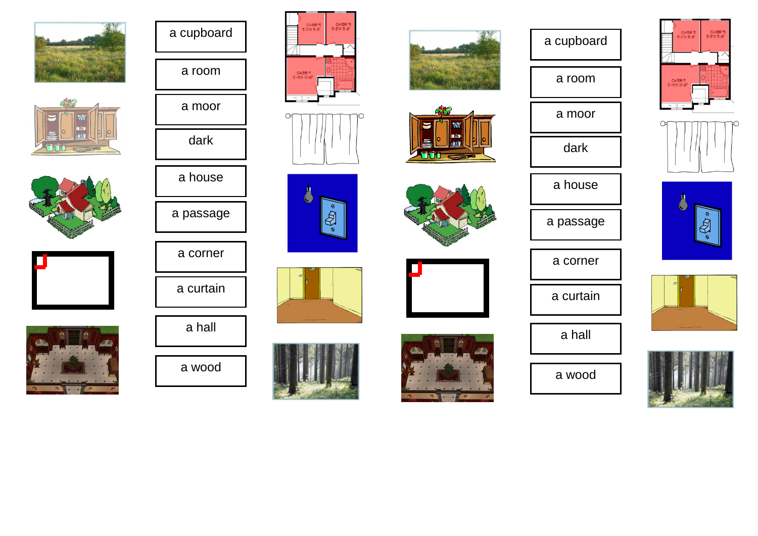































## a cupboard

a room









a wood









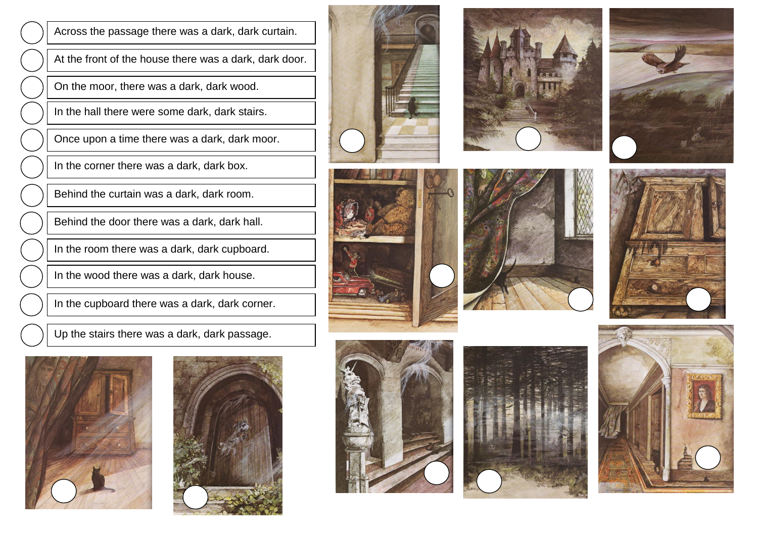Across the passage there was a dark, dark curtain.

At the front of the house there was a dark, dark door.

On the moor, there was a dark, dark wood.

In the hall there were some dark, dark stairs.

Once upon a time there was a dark, dark moor.

In the corner there was a dark, dark box.

Behind the curtain was a dark, dark room.

Behind the door there was a dark, dark hall.

In the room there was a dark, dark cupboard.

In the wood there was a dark, dark house.

In the cupboard there was a dark, dark corner.

Up the stairs there was a dark, dark passage.



















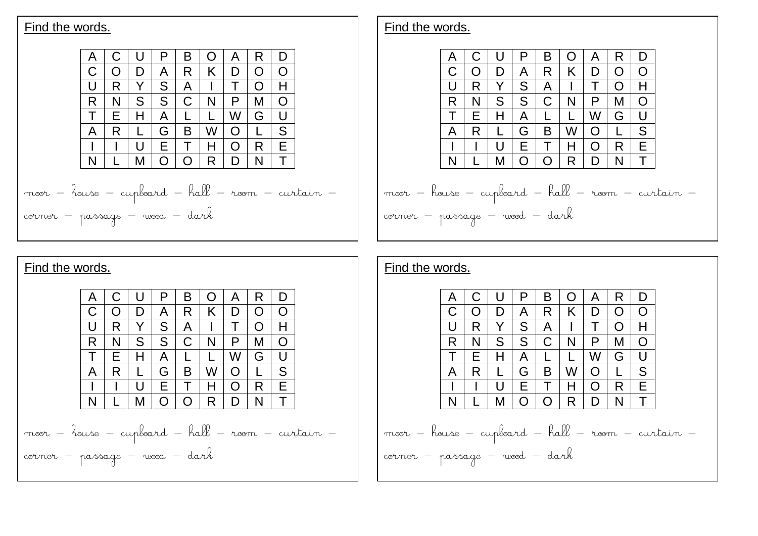

## Find the words.





| Find the words.                                 |   |   |    |        |        |   |               |               |   |  |
|-------------------------------------------------|---|---|----|--------|--------|---|---------------|---------------|---|--|
|                                                 |   |   |    | Р      | B      |   | Α             | R             | D |  |
|                                                 |   |   | D  | A      | R      | Κ | D             | $\mathcal{L}$ | O |  |
|                                                 |   | R |    | S      | A      |   |               | $\mathcal{L}$ | н |  |
|                                                 | R | N | S  | S      | C      | N | P             | М             | O |  |
|                                                 |   | E |    | A      |        |   | W             | G             | Ħ |  |
|                                                 | А | R |    | G      | В      | W | $\cap$        |               | S |  |
|                                                 |   |   | ιı | Е      |        | н | $\mathcal{L}$ | R             | Е |  |
|                                                 | N |   | М  | $\cap$ | $\cap$ | R | D             | N             |   |  |
|                                                 |   |   |    |        |        |   |               |               |   |  |
| moor - house - cupboard - hall - room - curtain |   |   |    |        |        |   |               |               |   |  |
| corner - passage - wood - dark                  |   |   |    |        |        |   |               |               |   |  |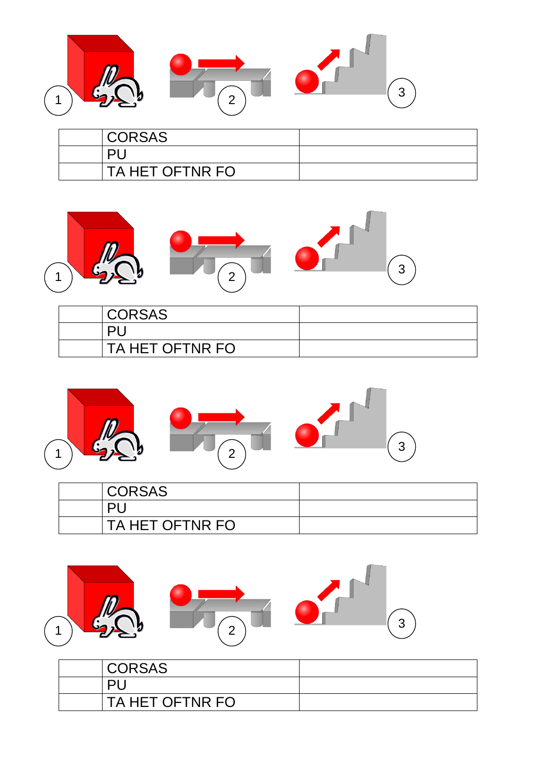

| <b>CORSAS</b>   |  |
|-----------------|--|
| וכו             |  |
| TA HET OFTNR FO |  |



| <b>CORSAS</b>   |  |
|-----------------|--|
|                 |  |
| TA HET OFTNR FO |  |



| <b>CORSAS</b>   |  |
|-----------------|--|
| ור              |  |
| TA HET OFTNR FO |  |



| <b>CORSAS</b>   |  |
|-----------------|--|
|                 |  |
| TA HET OFTNR FO |  |